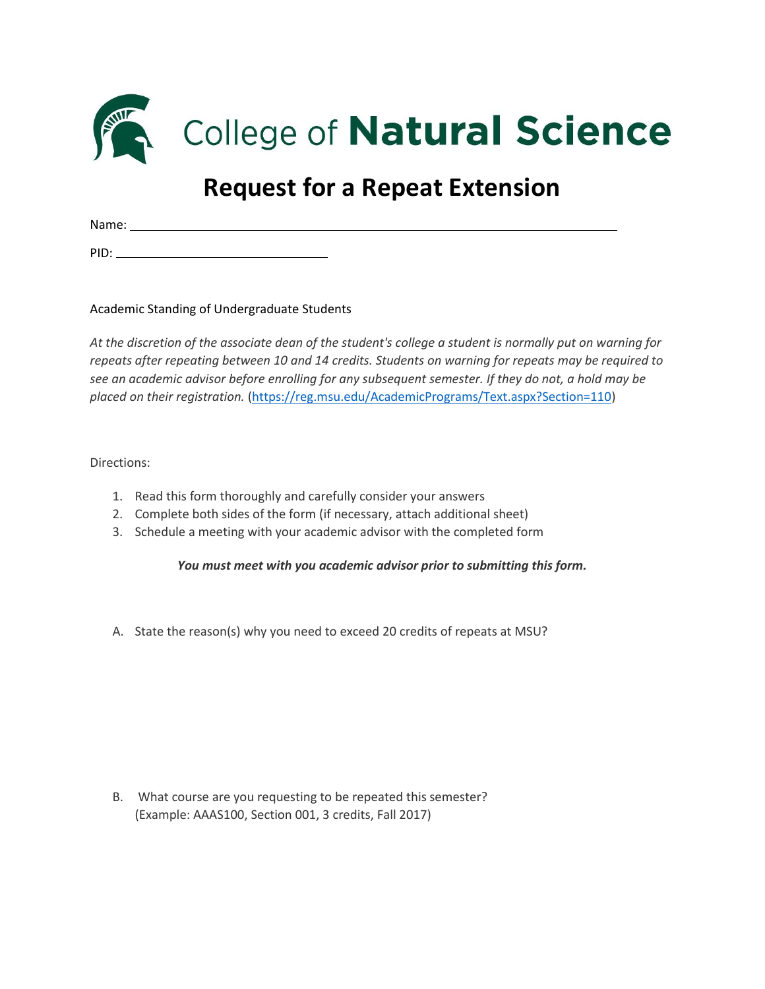

College of Natural Science

## **Request for a Repeat Extension**

Name:

PID:

Academic Standing of Undergraduate Students

*At the discretion of the associate dean of the student's college a student is normally put on warning for repeats after repeating between 10 and 14 credits. Students on warning for repeats may be required to see an academic advisor before enrolling for any subsequent semester. If they do not, a hold may be placed on their registration.* [\(https://reg.msu.edu/AcademicPrograms/Text.aspx?Section=110\)](https://reg.msu.edu/AcademicPrograms/Text.aspx?Section=110)

Directions:

- 1. Read this form thoroughly and carefully consider your answers
- 2. Complete both sides of the form (if necessary, attach additional sheet)
- 3. Schedule a meeting with your academic advisor with the completed form

*You must meet with you academic advisor prior to submitting this form.*

A. State the reason(s) why you need to exceed 20 credits of repeats at MSU?

B. What course are you requesting to be repeated this semester? (Example: AAAS100, Section 001, 3 credits, Fall 2017)